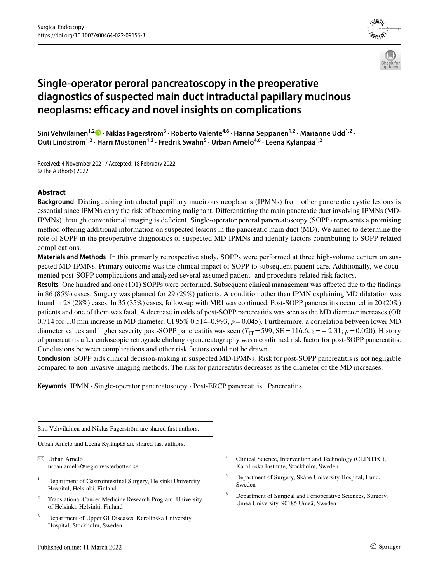



# **Single‑operator peroral pancreatoscopy in the preoperative diagnostics of suspected main duct intraductal papillary mucinous neoplasms: efficacy and novel insights on complications**

**Sini Vehviläinen1,[2](http://orcid.org/0000-0002-4892-1867) · Niklas Fagerström<sup>3</sup> · Roberto Valente4,6 · Hanna Seppänen1,2 · Marianne Udd1,2 ·**  Outi Lindström<sup>1,2</sup> · Harri Mustonen<sup>1,2</sup> · Fredrik Swahn<sup>5</sup> · Urban Arnelo<sup>4,6</sup> · Leena Kylänpää<sup>1,2</sup>

Received: 4 November 2021 / Accepted: 18 February 2022 © The Author(s) 2022

# **Abstract**

**Background** Distinguishing intraductal papillary mucinous neoplasms (IPMNs) from other pancreatic cystic lesions is essential since IPMNs carry the risk of becoming malignant. Diferentiating the main pancreatic duct involving IPMNs (MD-IPMNs) through conventional imaging is defcient. Single-operator peroral pancreatoscopy (SOPP) represents a promising method offering additional information on suspected lesions in the pancreatic main duct (MD). We aimed to determine the role of SOPP in the preoperative diagnostics of suspected MD-IPMNs and identify factors contributing to SOPP-related complications.

**Materials and Methods** In this primarily retrospective study, SOPPs were performed at three high-volume centers on suspected MD-IPMNs. Primary outcome was the clinical impact of SOPP to subsequent patient care. Additionally, we documented post-SOPP complications and analyzed several assumed patient- and procedure-related risk factors.

**Results** One hundred and one (101) SOPPs were performed. Subsequent clinical management was afected due to the fndings in 86 (85%) cases. Surgery was planned for 29 (29%) patients. A condition other than IPMN explaining MD dilatation was found in 28 (28%) cases. In 35 (35%) cases, follow-up with MRI was continued. Post-SOPP pancreatitis occurred in 20 (20%) patients and one of them was fatal. A decrease in odds of post-SOPP pancreatitis was seen as the MD diameter increases (OR 0.714 for 1.0 mm increase in MD diameter, CI 95% 0.514–0.993, *p*=0.045). Furthermore, a correlation between lower MD diameter values and higher severity post-SOPP pancreatitis was seen  $(T_{\text{IT}}=599, \text{SE}=116.6, z=-2.31; p=0.020)$ . History of pancreatitis after endoscopic retrograde cholangiopancreatography was a confrmed risk factor for post-SOPP pancreatitis. Conclusions between complications and other risk factors could not be drawn.

**Conclusion** SOPP aids clinical decision-making in suspected MD-IPMNs. Risk for post-SOPP pancreatitis is not negligible compared to non-invasive imaging methods. The risk for pancreatitis decreases as the diameter of the MD increases.

**Keywords** IPMN · Single-operator pancreatoscopy · Post-ERCP pancreatitis · Pancreatitis

Sini Vehviläinen and Niklas Fagerström are shared frst authors.

Urban Arnelo and Leena Kylänpää are shared last authors.

 $\boxtimes$  Urban Arnelo urban.arnelo@regionvasterbotten.se

- <sup>1</sup> Department of Gastrointestinal Surgery, Helsinki University Hospital, Helsinki, Finland
- <sup>2</sup> Translational Cancer Medicine Research Program, University of Helsinki, Helsinki, Finland
- Department of Upper GI Diseases, Karolinska University Hospital, Stockholm, Sweden
- <sup>4</sup> Clinical Science, Intervention and Technology (CLINTEC), Karolinska Institute, Stockholm, Sweden
- <sup>5</sup> Department of Surgery, Skåne University Hospital, Lund, Sweden
- <sup>6</sup> Department of Surgical and Perioperative Sciences, Surgery, Umeå University, 90185 Umeå, Sweden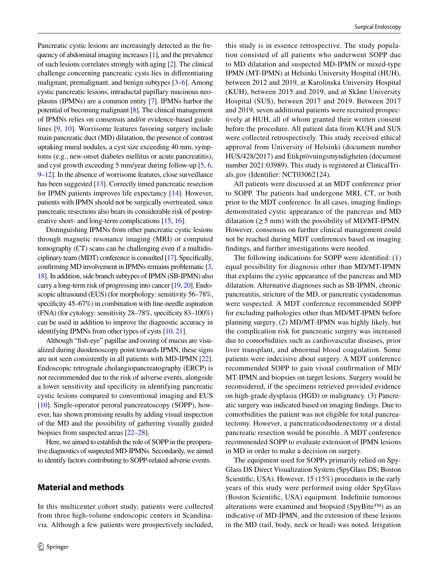Pancreatic cystic lesions are increasingly detected as the frequency of abdominal imaging increases [\[1](#page-10-0)], and the prevalence of such lesions correlates strongly with aging [[2](#page-10-1)]. The clinical challenge concerning pancreatic cysts lies in diferentiating malignant, premalignant, and benign subtypes [[3–](#page-10-2)[6](#page-10-3)]. Among cystic pancreatic lesions, intraductal papillary mucinous neoplasms (IPMNs) are a common entity [[7\]](#page-10-4). IPMNs harbor the potential of becoming malignant [\[8](#page-10-5)]. The clinical management of IPMNs relies on consensus and/or evidence-based guidelines [[9,](#page-10-6) [10](#page-11-0)]. Worrisome features favoring surgery include main pancreatic duct (MD) dilatation, the presence of contrast uptaking mural nodules, a cyst size exceeding 40 mm, symptoms (e.g., new-onset diabetes mellitus or acute pancreatitis), and cyst growth exceeding 5 mm/year during follow-up [\[5](#page-10-7), [6,](#page-10-3) [9–](#page-10-6)[12](#page-11-1)]. In the absence of worrisome features, close surveillance has been suggested [[13](#page-11-2)]. Correctly timed pancreatic resection for IPMN patients improves life expectancy [[14\]](#page-11-3). However, patients with IPMN should not be surgically overtreated, since pancreatic resections also bears its considerable risk of postoperative short- and long-term complications [\[15](#page-11-4), [16\]](#page-11-5).

Distinguishing IPMNs from other pancreatic cystic lesions through magnetic resonance imaging (MRI) or computed tomography (CT) scans can be challenging even if a multidisciplinary team (MDT) conference is consulted [[17\]](#page-11-6). Specifcally, confrming MD involvement in IPMNs remains problematic [\[3,](#page-10-2) [18](#page-11-7)]. In addition, side branch subtypes of IPMN (SB-IPMN) also carry a long-term risk of progressing into cancer [\[19,](#page-11-8) [20\]](#page-11-9). Endoscopic ultrasound (EUS) (for morphology: sensitivity 56–78%, specificity 45–67%) in combination with fine-needle aspiration (FNA) (for cytology: sensitivity 28–78%, specifcity 83–100%) can be used in addition to improve the diagnostic accuracy in identifying IPMNs from other types of cysts [\[10,](#page-11-0) [21](#page-11-10)].

Although "fsh-eye" papillae and oozing of mucus are visualized during duodenoscopy point towards IPMN, these signs are not seen consistently in all patients with MD-IPMN [[22](#page-11-11)]. Endoscopic retrograde cholangiopancreatography (ERCP) is not recommended due to the risk of adverse events, alongside a lower sensitivity and specifcity in identifying pancreatic cystic lesions compared to conventional imaging and EUS [\[10](#page-11-0)]. Single-operator peroral pancreatoscopy (SOPP), however, has shown promising results by adding visual inspection of the MD and the possibility of gathering visually guided biopsies from suspected areas [[22](#page-11-11)[–28](#page-11-12)].

Here, we aimed to establish the role of SOPP in the preoperative diagnostics of suspected MD-IPMNs. Secondarily, we aimed to identify factors contributing to SOPP-related adverse events.

# **Material and methods**

In this multicenter cohort study, patients were collected from three high-volume endoscopic centers in Scandinavia. Although a few patients were prospectively included,

this study is in essence retrospective. The study population consisted of all patients who underwent SOPP due to MD dilatation and suspected MD-IPMN or mixed-type IPMN (MT-IPMN) at Helsinki University Hospital (HUH), between 2012 and 2019, at Karolinska University Hospital (KUH), between 2015 and 2019, and at Skåne University Hospital (SUS), between 2017 and 2019. Between 2017 and 2019, seven additional patients were recruited prospectively at HUH, all of whom granted their written consent before the procedure. All patient data from KUH and SUS were collected retrospectively. This study received ethical approval from University of Helsinki (document number HUS/428/2017) and Etikprövningsmyndigheten (document number 2021:03989). This study is registered at ClinicalTrials.gov (Identifer: NCT03062124).

All patients were discussed at an MDT conference prior to SOPP. The patients had undergone MRI, CT, or both prior to the MDT conference. In all cases, imaging fndings demonstrated cystic appearance of the pancreas and MD dilatation ( $\geq$  5 mm) with the possibility of MD/MT-IPMN. However, consensus on further clinical management could not be reached during MDT conferences based on imaging fndings, and further investigations were needed.

The following indications for SOPP were identifed: (1) equal possibility for diagnosis other than MD/MT-IPMN that explains the cystic appearance of the pancreas and MD dilatation. Alternative diagnoses such as SB-IPMN, chronic pancreatitis, stricture of the MD, or pancreatic cystadenomas were suspected. A MDT conference recommended SOPP for excluding pathologies other than MD/MT-IPMN before planning surgery. (2) MD/MT-IPMN was highly likely, but the complication risk for pancreatic surgery was increased due to comorbidities such as cardiovascular diseases, prior liver transplant, and abnormal blood coagulation. Some patients were indecisive about surgery. A MDT conference recommended SOPP to gain visual confrmation of MD/ MT-IPMN and biopsies on target lesions. Surgery would be reconsidered, if the specimens retrieved provided evidence on high-grade dysplasia (HGD) or malignancy. (3) Pancreatic surgery was indicated based on imaging fndings. Due to comorbidities the patient was not eligible for total pancreatectomy. However, a pancreaticoduodenectomy or a distal pancreatic resection would be possible. A MDT conference recommended SOPP to evaluate extension of IPMN lesions in MD in order to make a decision on surgery.

The equipment used for SOPPs primarily relied on Spy-Glass DS Direct Visualization System (SpyGlass DS; Boston Scientifc, USA). However, 15 (15%) procedures in the early years of this study were performed using older SpyGlass (Boston Scientifc, USA) equipment. Indefnite tumorous alterations were examined and biopsied (SpyBite™) as an indicative of MD-IPMN, and the extension of these lesions in the MD (tail, body, neck or head) was noted. Irrigation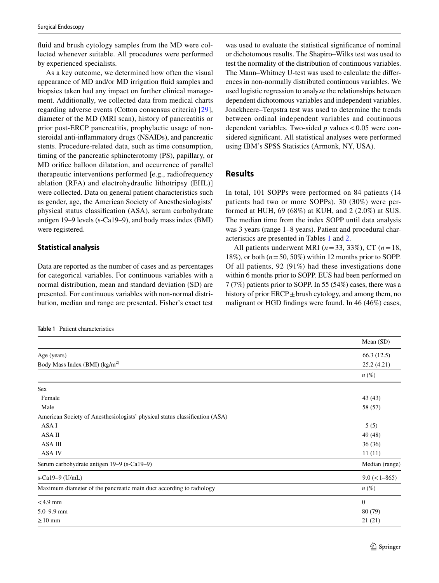fuid and brush cytology samples from the MD were collected whenever suitable. All procedures were performed by experienced specialists.

As a key outcome, we determined how often the visual appearance of MD and/or MD irrigation fuid samples and biopsies taken had any impact on further clinical management. Additionally, we collected data from medical charts regarding adverse events (Cotton consensus criteria) [[29](#page-11-13)], diameter of the MD (MRI scan), history of pancreatitis or prior post-ERCP pancreatitis, prophylactic usage of nonsteroidal anti-infammatory drugs (NSAIDs), and pancreatic stents. Procedure-related data, such as time consumption, timing of the pancreatic sphincterotomy (PS), papillary, or MD orifce balloon dilatation, and occurrence of parallel therapeutic interventions performed [e.g., radiofrequency ablation (RFA) and electrohydraulic lithotripsy (EHL)] were collected. Data on general patient characteristics such as gender, age, the American Society of Anesthesiologists' physical status classifcation (ASA), serum carbohydrate antigen 19–9 levels (s-Ca19–9), and body mass index (BMI) were registered.

## **Statistical analysis**

Data are reported as the number of cases and as percentages for categorical variables. For continuous variables with a normal distribution, mean and standard deviation (SD) are presented. For continuous variables with non-normal distribution, median and range are presented. Fisher's exact test

<span id="page-2-0"></span>**Table 1** Patient characteristics

was used to evaluate the statistical signifcance of nominal or dichotomous results. The Shapiro–Wilks test was used to test the normality of the distribution of continuous variables. The Mann–Whitney U-test was used to calculate the diferences in non-normally distributed continuous variables. We used logistic regression to analyze the relationships between dependent dichotomous variables and independent variables. Jonckheere–Terpstra test was used to determine the trends between ordinal independent variables and continuous dependent variables. Two-sided  $p$  values  $< 0.05$  were considered signifcant. All statistical analyses were performed using IBM's SPSS Statistics (Armonk, NY, USA).

# **Results**

In total, 101 SOPPs were performed on 84 patients (14 patients had two or more SOPPs). 30 (30%) were performed at HUH, 69 (68%) at KUH, and 2 (2.0%) at SUS. The median time from the index SOPP until data analysis was 3 years (range 1–8 years). Patient and procedural characteristics are presented in Tables [1](#page-2-0) and [2](#page-3-0).

All patients underwent MRI (*n*=33, 33%), CT (*n*=18, 18%), or both (*n*=50, 50%) within 12 months prior to SOPP. Of all patients, 92 (91%) had these investigations done within 6 months prior to SOPP. EUS had been performed on 7 (7%) patients prior to SOPP. In 55 (54%) cases, there was a history of prior  $ERCP \pm$  brush cytology, and among them, no malignant or HGD fndings were found. In 46 (46%) cases,

|                                                                             | Mean (SD)          |
|-----------------------------------------------------------------------------|--------------------|
| Age (years)                                                                 | 66.3(12.5)         |
| Body Mass Index (BMI) $(kg/m^2)$                                            | 25.2(4.21)         |
|                                                                             | $n(\%)$            |
| <b>Sex</b>                                                                  |                    |
| Female                                                                      | 43(43)             |
| Male                                                                        | 58 (57)            |
| American Society of Anesthesiologists' physical status classification (ASA) |                    |
| ASA I                                                                       | 5(5)               |
| ASA II                                                                      | 49 (48)            |
| ASA III                                                                     | 36(36)             |
| <b>ASA IV</b>                                                               | 11(11)             |
| Serum carbohydrate antigen 19–9 (s-Ca19–9)                                  | Median (range)     |
| s-Ca19-9 $(U/mL)$                                                           | $9.0 \leq l - 865$ |
| Maximum diameter of the pancreatic main duct according to radiology         | $n\left(\%\right)$ |
| $<$ 4.9 mm                                                                  | $\mathbf{0}$       |
| $5.0 - 9.9$ mm                                                              | 80(79)             |
| $\geq 10$ mm                                                                | 21(21)             |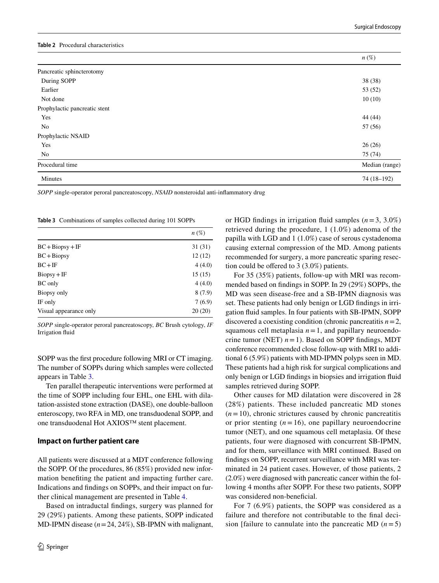#### <span id="page-3-0"></span>**Table 2** Procedural characteristics

|                               | $n(\%)$        |
|-------------------------------|----------------|
| Pancreatic sphincterotomy     |                |
| During SOPP                   | 38 (38)        |
| Earlier                       | 53 (52)        |
| Not done                      | 10(10)         |
| Prophylactic pancreatic stent |                |
| Yes                           | 44 (44)        |
| No                            | 57 (56)        |
| Prophylactic NSAID            |                |
| Yes                           | 26(26)         |
| No                            | 75 (74)        |
| Procedural time               | Median (range) |
| Minutes                       | 74 (18-192)    |

*SOPP* single-operator peroral pancreatoscopy, *NSAID* nonsteroidal anti-infammatory drug

<span id="page-3-1"></span>**Table 3** Combinations of samples collected during 101 SOPPs

|                        | $n(\%)$ |
|------------------------|---------|
| $BC + Biopsy + IF$     | 31 (31) |
| $BC + Bi$              | 12(12)  |
| $BC + IF$              | 4(4.0)  |
| $Biopsy + IF$          | 15(15)  |
| <b>BC</b> only         | 4(4.0)  |
| Biopsy only            | 8(7.9)  |
| IF only                | 7(6.9)  |
| Visual appearance only | 20(20)  |

*SOPP* single-operator peroral pancreatoscopy, *BC* Brush cytology, *IF* Irrigation fuid

SOPP was the frst procedure following MRI or CT imaging. The number of SOPPs during which samples were collected appears in Table [3.](#page-3-1)

Ten parallel therapeutic interventions were performed at the time of SOPP including four EHL, one EHL with dilatation-assisted stone extraction (DASE), one double-balloon enteroscopy, two RFA in MD, one transduodenal SOPP, and one transduodenal Hot AXIOS™ stent placement.

#### **Impact on further patient care**

All patients were discussed at a MDT conference following the SOPP. Of the procedures, 86 (85%) provided new information benefting the patient and impacting further care. Indications and fndings on SOPPs, and their impact on further clinical management are presented in Table [4.](#page-4-0)

Based on intraductal fndings, surgery was planned for 29 (29%) patients. Among these patients, SOPP indicated MD-IPMN disease (*n*=24, 24%), SB-IPMN with malignant,

or HGD fndings in irrigation fuid samples (*n*=3, 3.0%) retrieved during the procedure, 1 (1.0%) adenoma of the papilla with LGD and 1 (1.0%) case of serous cystadenoma causing external compression of the MD. Among patients recommended for surgery, a more pancreatic sparing resection could be ofered to 3 (3.0%) patients.

For 35 (35%) patients, follow-up with MRI was recommended based on fndings in SOPP. In 29 (29%) SOPPs, the MD was seen disease-free and a SB-IPMN diagnosis was set. These patients had only benign or LGD fndings in irrigation fuid samples. In four patients with SB-IPMN, SOPP discovered a coexisting condition (chronic pancreatitis *n*=2, squamous cell metaplasia  $n = 1$ , and papillary neuroendocrine tumor (NET)  $n=1$ ). Based on SOPP findings, MDT conference recommended close follow-up with MRI to additional 6 (5.9%) patients with MD-IPMN polyps seen in MD. These patients had a high risk for surgical complications and only benign or LGD fndings in biopsies and irrigation fuid samples retrieved during SOPP.

Other causes for MD dilatation were discovered in 28 (28%) patients. These included pancreatic MD stones  $(n=10)$ , chronic strictures caused by chronic pancreatitis or prior stenting  $(n = 16)$ , one papillary neuroendocrine tumor (NET), and one squamous cell metaplasia. Of these patients, four were diagnosed with concurrent SB-IPMN, and for them, surveillance with MRI continued. Based on fndings on SOPP, recurrent surveillance with MRI was terminated in 24 patient cases. However, of those patients, 2 (2.0%) were diagnosed with pancreatic cancer within the following 4 months after SOPP. For these two patients, SOPP was considered non-beneficial.

For 7 (6.9%) patients, the SOPP was considered as a failure and therefore not contributable to the fnal decision [failure to cannulate into the pancreatic MD  $(n=5)$ ]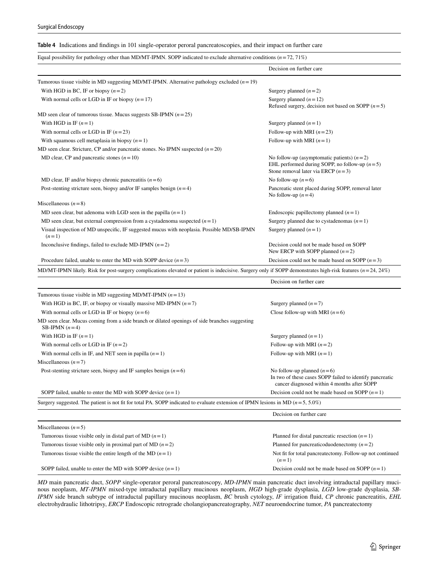<span id="page-4-0"></span>

|  |  |  |  |  | <b>Table 4</b> Indications and findings in 101 single-operator peroral pancreatoscopies, and their impact on further care |  |  |
|--|--|--|--|--|---------------------------------------------------------------------------------------------------------------------------|--|--|
|--|--|--|--|--|---------------------------------------------------------------------------------------------------------------------------|--|--|

| Equal possibility for pathology other than MD/MT-IPMN. SOPP indicated to exclude alternative conditions ( $n=72, 71\%$ )                                        |                                                                                                                                         |
|-----------------------------------------------------------------------------------------------------------------------------------------------------------------|-----------------------------------------------------------------------------------------------------------------------------------------|
|                                                                                                                                                                 | Decision on further care                                                                                                                |
| Tumorous tissue visible in MD suggesting MD/MT-IPMN. Alternative pathology excluded $(n=19)$                                                                    |                                                                                                                                         |
| With HGD in BC, IF or biopsy $(n=2)$                                                                                                                            | Surgery planned $(n=2)$                                                                                                                 |
| With normal cells or LGD in IF or biopsy $(n=17)$                                                                                                               | Surgery planned $(n=12)$<br>Refused surgery, decision not based on SOPP $(n=5)$                                                         |
| MD seen clear of tumorous tissue. Mucus suggests SB-IPMN $(n=25)$                                                                                               |                                                                                                                                         |
| With HGD in IF $(n=1)$                                                                                                                                          | Surgery planned $(n=1)$                                                                                                                 |
| With normal cells or LGD in IF $(n=23)$                                                                                                                         | Follow-up with MRI $(n=23)$                                                                                                             |
| With squamous cell metaplasia in biopsy $(n=1)$                                                                                                                 | Follow-up with MRI $(n=1)$                                                                                                              |
| MD seen clear. Stricture, CP and/or pancreatic stones. No IPMN suspected $(n=20)$                                                                               |                                                                                                                                         |
| MD clear, CP and pancreatic stones $(n=10)$                                                                                                                     | No follow-up (asymptomatic patients) $(n=2)$<br>EHL performed during SOPP, no follow-up $(n=5)$<br>Stone removal later via ERCP $(n=3)$ |
| MD clear, IF and/or biopsy chronic pancreatitis $(n=6)$                                                                                                         | No follow-up $(n=6)$                                                                                                                    |
| Post-stenting stricture seen, biopsy and/or IF samples benign $(n=4)$                                                                                           | Pancreatic stent placed during SOPP, removal later<br>No follow-up $(n=4)$                                                              |
| Miscellaneous $(n=8)$                                                                                                                                           |                                                                                                                                         |
| MD seen clear, but adenoma with LGD seen in the papilla $(n=1)$                                                                                                 | Endoscopic papillectomy planned $(n=1)$                                                                                                 |
| MD seen clear, but external compression from a cystadenoma suspected $(n=1)$                                                                                    | Surgery planned due to cystadenomas $(n=1)$                                                                                             |
| Visual inspection of MD unspecific, IF suggested mucus with neoplasia. Possible MD/SB-IPMN<br>$(n=1)$                                                           | Surgery planned $(n=1)$                                                                                                                 |
| Inconclusive findings, failed to exclude MD-IPMN $(n=2)$                                                                                                        | Decision could not be made based on SOPP<br>New ERCP with SOPP planned $(n=2)$                                                          |
| Procedure failed, unable to enter the MD with SOPP device $(n=3)$                                                                                               | Decision could not be made based on SOPP $(n=3)$                                                                                        |
| MD/MT-IPMN likely. Risk for post-surgery complications elevated or patient is indecisive. Surgery only if SOPP demonstrates high-risk features ( $n=24, 24\%$ ) |                                                                                                                                         |
|                                                                                                                                                                 | Decision on further care                                                                                                                |
| Tumorous tissue visible in MD suggesting MD/MT-IPMN $(n=13)$                                                                                                    |                                                                                                                                         |
| With HGD in BC, IF, or biopsy or visually massive MD-IPMN $(n=7)$                                                                                               | Surgery planned $(n=7)$                                                                                                                 |
| With normal cells or LGD in IF or biopsy $(n=6)$                                                                                                                | Close follow-up with MRI $(n=6)$                                                                                                        |
| MD seen clear. Mucus coming from a side branch or dilated openings of side branches suggesting<br>SB-IPMN $(n=4)$                                               |                                                                                                                                         |
| With HGD in IF $(n=1)$                                                                                                                                          | Surgery planned $(n=1)$                                                                                                                 |
| With normal cells or LGD in IF $(n=2)$                                                                                                                          | Follow-up with MRI $(n=2)$                                                                                                              |
| With normal cells in IF, and NET seen in papilla $(n=1)$                                                                                                        | Follow-up with MRI $(n=1)$                                                                                                              |
| Miscellaneous $(n=7)$                                                                                                                                           |                                                                                                                                         |
| Post-stenting stricture seen, biopsy and IF samples benign $(n=6)$                                                                                              | No follow-up planned $(n=6)$<br>In two of these cases SOPP failed to identify pancreatic<br>cancer diagnosed within 4 months after SOPP |
| SOPP failed, unable to enter the MD with SOPP device $(n=1)$                                                                                                    | Decision could not be made based on SOPP $(n=1)$                                                                                        |
| Surgery suggested. The patient is not fit for total PA. SOPP indicated to evaluate extension of IPMN lesions in MD ( $n = 5, 5.0\%$ )                           |                                                                                                                                         |
|                                                                                                                                                                 | Decision on further care                                                                                                                |
| Miscellaneous $(n=5)$                                                                                                                                           |                                                                                                                                         |
| Tumorous tissue visible only in distal part of MD $(n=1)$                                                                                                       | Planned for distal pancreatic resection $(n=1)$                                                                                         |
| Tumorous tissue visible only in proximal part of MD $(n=2)$                                                                                                     | Planned for pancreaticoduodenectomy $(n=2)$                                                                                             |
| Tumorous tissue visible the entire length of the MD $(n=1)$                                                                                                     | Not fit for total pancreatectomy. Follow-up not continued<br>$(n=1)$                                                                    |
| SOPP failed, unable to enter the MD with SOPP device $(n=1)$                                                                                                    | Decision could not be made based on SOPP $(n=1)$                                                                                        |

*MD* main pancreatic duct, *SOPP* single-operator peroral pancreatoscopy, *MD*-*IPMN* main pancreatic duct involving intraductal papillary mucinous neoplasm, *MT*-*IPMN* mixed-type intraductal papillary mucinous neoplasm, *HGD* high-grade dysplasia, *LGD* low-grade dysplasia, *SB*-*IPMN* side branch subtype of intraductal papillary mucinous neoplasm, *BC* brush cytology, *IF* irrigation fuid, *CP* chronic pancreatitis, *EHL* electrohydraulic lithotripsy, *ERCP* Endoscopic retrograde cholangiopancreatography, *NET* neuroendocrine tumor, *PA* pancreatectomy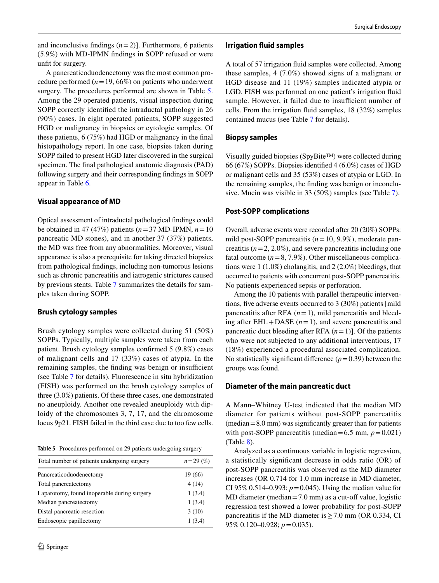and inconclusive findings  $(n=2)$ ]. Furthermore, 6 patients (5.9%) with MD-IPMN fndings in SOPP refused or were unft for surgery.

A pancreaticoduodenectomy was the most common procedure performed  $(n=19, 66\%)$  on patients who underwent surgery. The procedures performed are shown in Table [5.](#page-5-0) Among the 29 operated patients, visual inspection during SOPP correctly identifed the intraductal pathology in 26 (90%) cases. In eight operated patients, SOPP suggested HGD or malignancy in biopsies or cytologic samples. Of these patients, 6 (75%) had HGD or malignancy in the fnal histopathology report. In one case, biopsies taken during SOPP failed to present HGD later discovered in the surgical specimen. The fnal pathological anatomic diagnosis (PAD) following surgery and their corresponding fndings in SOPP appear in Table [6.](#page-6-0)

### **Visual appearance of MD**

Optical assessment of intraductal pathological fndings could be obtained in 47 (47%) patients (*n*=37 MD-IPMN, *n*=10 pancreatic MD stones), and in another 37 (37%) patients, the MD was free from any abnormalities. Moreover, visual appearance is also a prerequisite for taking directed biopsies from pathological fndings, including non-tumorous lesions such as chronic pancreatitis and iatrogenic strictures caused by previous stents. Table [7](#page-6-1) summarizes the details for samples taken during SOPP.

### **Brush cytology samples**

Brush cytology samples were collected during 51 (50%) SOPPs. Typically, multiple samples were taken from each patient. Brush cytology samples confrmed 5 (9.8%) cases of malignant cells and 17 (33%) cases of atypia. In the remaining samples, the finding was benign or insufficient (see Table [7](#page-6-1) for details). Fluorescence in situ hybridization (FISH) was performed on the brush cytology samples of three (3.0%) patients. Of these three cases, one demonstrated no aneuploidy. Another one revealed aneuploidy with diploidy of the chromosomes 3, 7, 17, and the chromosome locus 9p21. FISH failed in the third case due to too few cells.

<span id="page-5-0"></span>**Table 5** Procedures performed on 29 patients undergoing surgery

| Total number of patients undergoing surgery | $n = 29\ (%)$ |
|---------------------------------------------|---------------|
| Pancreaticoduodenectomy                     | 19 (66)       |
| Total pancreatectomy                        | 4(14)         |
| Laparotomy, found inoperable during surgery | 1(3.4)        |
| Median pancreatectomy                       | 1(3.4)        |
| Distal pancreatic resection                 | 3(10)         |
| Endoscopic papillectomy                     | 1(3.4)        |

## **Irrigation fuid samples**

A total of 57 irrigation fuid samples were collected. Among these samples, 4 (7.0%) showed signs of a malignant or HGD disease and 11 (19%) samples indicated atypia or LGD. FISH was performed on one patient's irrigation fuid sample. However, it failed due to insufficient number of cells. From the irrigation fuid samples, 18 (32%) samples contained mucus (see Table [7](#page-6-1) for details).

### **Biopsy samples**

Visually guided biopsies (SpyBite™) were collected during 66 (67%) SOPPs. Biopsies identifed 4 (6.0%) cases of HGD or malignant cells and 35 (53%) cases of atypia or LGD. In the remaining samples, the fnding was benign or inconclusive. Mucin was visible in 33 (50%) samples (see Table [7\)](#page-6-1).

## **Post‑SOPP complications**

Overall, adverse events were recorded after 20 (20%) SOPPs: mild post-SOPP pancreatitis (*n*=10, 9.9%), moderate pancreatitis  $(n=2, 2.0\%)$ , and severe pancreatitis including one fatal outcome  $(n=8, 7.9\%)$ . Other miscellaneous complications were 1 (1.0%) cholangitis, and 2 (2.0%) bleedings, that occurred to patients with concurrent post-SOPP pancreatitis. No patients experienced sepsis or perforation.

Among the 10 patients with parallel therapeutic interventions, fve adverse events occurred to 3 (30%) patients [mild pancreatitis after RFA  $(n=1)$ , mild pancreatitis and bleeding after  $EHL + DASE$  ( $n = 1$ ), and severe pancreatitis and pancreatic duct bleeding after RFA  $(n=1)$ ]. Of the patients who were not subjected to any additional interventions, 17 (18%) experienced a procedural associated complication. No statistically significant difference  $(p=0.39)$  between the groups was found.

### **Diameter of the main pancreatic duct**

A Mann–Whitney U-test indicated that the median MD diameter for patients without post-SOPP pancreatitis  $(\text{median}=8.0 \text{ mm})$  was significantly greater than for patients with post-SOPP pancreatitis (median=6.5 mm,  $p = 0.021$ ) (Table [8\)](#page-7-0).

Analyzed as a continuous variable in logistic regression, a statistically signifcant decrease in odds ratio (OR) of post-SOPP pancreatitis was observed as the MD diameter increases (OR 0.714 for 1.0 mm increase in MD diameter, CI 95% 0.514–0.993;  $p = 0.045$ ). Using the median value for  $MD$  diameter (median = 7.0 mm) as a cut-off value, logistic regression test showed a lower probability for post-SOPP pancreatitis if the MD diameter is  $\geq$  7.0 mm (OR 0.334, CI 95% 0.120–0.928; *p*=0.035).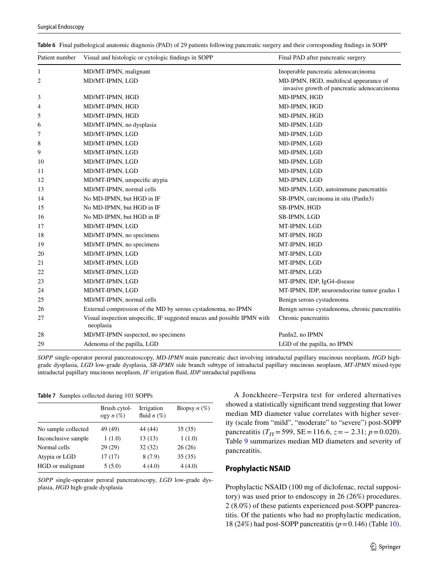| Patient number | Visual and histologic or cytologic findings in SOPP                                  | Final PAD after pancreatic surgery                                                     |
|----------------|--------------------------------------------------------------------------------------|----------------------------------------------------------------------------------------|
| 1              | MD/MT-IPMN, malignant                                                                | Inoperable pancreatic adenocarcinoma                                                   |
| 2              | MD/MT-IPMN, LGD                                                                      | MD-IPMN, HGD, multifocal appearance of<br>invasive growth of pancreatic adenocarcinoma |
| 3              | MD/MT-IPMN, HGD                                                                      | MD-IPMN, HGD                                                                           |
| 4              | MD/MT-IPMN, HGD                                                                      | MD-IPMN, HGD                                                                           |
| 5              | MD/MT-IPMN, HGD                                                                      | MD-IPMN, HGD                                                                           |
| 6              | MD/MT-IPMN, no dysplasia                                                             | MD-IPMN, LGD                                                                           |
| 7              | MD/MT-IPMN, LGD                                                                      | MD-IPMN, LGD                                                                           |
| 8              | MD/MT-IPMN, LGD                                                                      | MD-IPMN, LGD                                                                           |
| 9              | MD/MT-IPMN, LGD                                                                      | MD-IPMN, LGD                                                                           |
| 10             | MD/MT-IPMN, LGD                                                                      | MD-IPMN, LGD                                                                           |
| 11             | MD/MT-IPMN, LGD                                                                      | MD-IPMN, LGD                                                                           |
| 12             | MD/MT-IPMN, unspecific atypia                                                        | MD-IPMN, LGD                                                                           |
| 13             | MD/MT-IPMN, normal cells                                                             | MD-IPMN, LGD, autoimmune pancreatitis                                                  |
| 14             | No MD-IPMN, but HGD in IF                                                            | SB-IPMN, carcinoma in situ (PanIn3)                                                    |
| 15             | No MD-IPMN, but HGD in IF                                                            | SB-IPMN, HGD                                                                           |
| 16             | No MD-IPMN, but HGD in IF                                                            | SB-IPMN, LGD                                                                           |
| 17             | MD/MT-IPMN, LGD                                                                      | MT-IPMN, LGD                                                                           |
| 18             | MD/MT-IPMN, no specimens                                                             | MT-IPMN, HGD                                                                           |
| 19             | MD/MT-IPMN, no specimens                                                             | MT-IPMN, HGD                                                                           |
| 20             | MD/MT-IPMN, LGD                                                                      | MT-IPMN, LGD                                                                           |
| 21             | MD/MT-IPMN, LGD                                                                      | MT-IPMN, LGD                                                                           |
| 22             | MD/MT-IPMN, LGD                                                                      | MT-IPMN, LGD                                                                           |
| 23             | MD/MT-IPMN, LGD                                                                      | MT-IPMN, IDP, IgG4-disease                                                             |
| 24             | MD/MT-IPMN, LGD                                                                      | MT-IPMN, IDP, neuroendocrine tumor gradus 1                                            |
| 25             | MD/MT-IPMN, normal cells                                                             | Benign serous cystadenoma                                                              |
| 26             | External compression of the MD by serous cystadenoma, no IPMN                        | Benign serous cystadenoma, chronic pancreatitis                                        |
| 27             | Visual inspection unspecific, IF suggested mucus and possible IPMN with<br>neoplasia | Chronic pancreatitis                                                                   |
| 28             | MD/MT-IPMN suspected, no specimens                                                   | PanIn2, no IPMN                                                                        |
| 29             | Adenoma of the papilla, LGD                                                          | LGD of the papilla, no IPMN                                                            |

<span id="page-6-0"></span>**Table 6** Final pathological anatomic diagnosis (PAD) of 29 patients following pancreatic surgery and their corresponding fndings in SOPP

*SOPP* single-operator peroral pancreatoscopy, *MD*-*IPMN* main pancreatic duct involving intraductal papillary mucinous neoplasm, *HGD* highgrade dysplasia, *LGD* low-grade dysplasia, *SB*-*IPMN* side branch subtype of intraductal papillary mucinous neoplasm, *MT*-*IPMN* mixed-type intraductal papillary mucinous neoplasm, *IF* irrigation fuid, *IDP* intraductal papilloma

<span id="page-6-1"></span>**Table 7** Samples collected during 101 SOPPs

|                     | Brush cytol-<br>ogy $n(\%)$ | Irrigation<br>fluid $n(\%)$ | Biopsy $n(\%)$ |
|---------------------|-----------------------------|-----------------------------|----------------|
| No sample collected | 49 (49)                     | 44 (44)                     | 35(35)         |
| Inconclusive sample | 1(1.0)                      | 13(13)                      | 1(1.0)         |
| Normal cells        | 29 (29)                     | 32(32)                      | 26(26)         |
| Atypia or LGD       | 17(17)                      | 8(7.9)                      | 35(35)         |
| HGD or malignant    | 5(5.0)                      | 4(4.0)                      | 4(4.0)         |

*SOPP* single-operator peroral pancreatoscopy, *LGD* low-grade dysplasia, *HGD* high-grade dysplasia

A Jonckheere–Terpstra test for ordered alternatives showed a statistically signifcant trend suggesting that lower median MD diameter value correlates with higher severity (scale from "mild", "moderate" to "severe") post-SOPP pancreatitis ( $T_{\text{IT}}$ =599, SE=116.6, *z* = - 2.31; *p* = 0.020). Table [9](#page-7-1) summarizes median MD diameters and severity of pancreatitis.

#### **Prophylactic NSAID**

Prophylactic NSAID (100 mg of diclofenac, rectal suppository) was used prior to endoscopy in 26 (26%) procedures. 2 (8.0%) of these patients experienced post-SOPP pancreatitis. Of the patients who had no prophylactic medication, 18 (24%) had post-SOPP pancreatitis (*p*=0.146) (Table [10](#page-8-0)).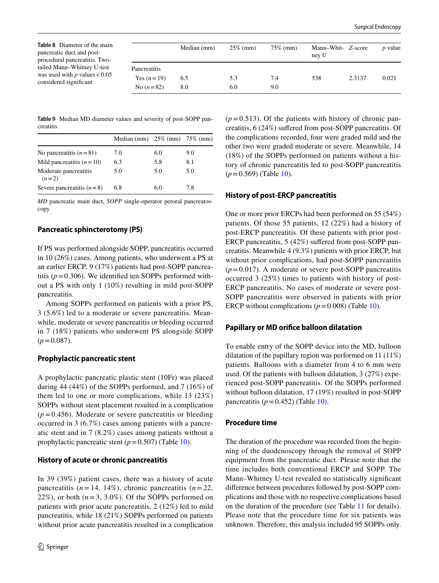<span id="page-7-0"></span>

| Table 8 Diameter of the main<br>pancreatic duct and post-<br>procedural pancreatitis. Two-<br>tailed Mann–Whitney U-test<br>was used with p values $< 0.05$<br>considered significant |              | Median (mm) | $25\%$ (mm) | $75\%$ (mm) | Mann-Whit- Z-score<br>ney U |        | <i>p</i> value |
|---------------------------------------------------------------------------------------------------------------------------------------------------------------------------------------|--------------|-------------|-------------|-------------|-----------------------------|--------|----------------|
|                                                                                                                                                                                       | Pancreatitis |             |             |             |                             |        |                |
|                                                                                                                                                                                       | Yes $(n=19)$ | 6.5         | 5.3         | 7.4         | 538                         | 2.3137 | 0.021          |
|                                                                                                                                                                                       | No $(n=82)$  | 8.0         | 6.0         | 9.0         |                             |        |                |

<span id="page-7-1"></span>**Table 9** Median MD diameter values and severity of post-SOPP pancreatitis

|                                  | Median (mm) $25\%$ (mm) $75\%$ (mm) |     |     |
|----------------------------------|-------------------------------------|-----|-----|
| No pancreatitis $(n=81)$         | 7.0                                 | 6.0 | 9.0 |
| Mild pancreatitis $(n=10)$       | 6.3                                 | 5.8 | 8.1 |
| Moderate pancreatitis<br>$(n=2)$ | 5.0                                 | 5.0 | 5.0 |
| Severe pancreatitis $(n=8)$      | 6.8                                 | 6.0 | 7.8 |

*MD* pancreatic main duct, *SOPP* single-operator peroral pancreatoscopy

## **Pancreatic sphincterotomy (PS)**

If PS was performed alongside SOPP, pancreatitis occurred in 10 (26%) cases. Among patients, who underwent a PS at an earlier ERCP, 9 (17%) patients had post-SOPP pancreatitis  $(p=0.306)$ . We identified ten SOPPs performed without a PS with only 1 (10%) resulting in mild post-SOPP pancreatitis.

Among SOPPs performed on patients with a prior PS, 3 (5.6%) led to a moderate or severe pancreatitis. Meanwhile, moderate or severe pancreatitis or bleeding occurred in 7 (18%) patients who underwent PS alongside SOPP  $(p=0.087)$ .

### **Prophylactic pancreatic stent**

A prophylactic pancreatic plastic stent (10Fr) was placed during 44 (44%) of the SOPPs performed, and 7 (16%) of them led to one or more complications, while 13 (23%) SOPPs without stent placement resulted in a complication  $(p=0.456)$ . Moderate or severe pancreatitis or bleeding occurred in 3 (6.7%) cases among patients with a pancreatic stent and in 7 (8.2%) cases among patients without a prophylactic pancreatic stent  $(p=0.507)$  (Table [10](#page-8-0)).

### **History of acute or chronic pancreatitis**

In 39 (39%) patient cases, there was a history of acute pancreatitis  $(n = 14, 14\%)$ , chronic pancreatitis  $(n = 22, 14\%)$ 22%), or both  $(n=3, 3.0\%)$ . Of the SOPPs performed on patients with prior acute pancreatitis, 2 (12%) led to mild pancreatitis, while 18 (21%) SOPPs performed on patients without prior acute pancreatitis resulted in a complication  $(p=0.513)$ . Of the patients with history of chronic pancreatitis, 6 (24%) sufered from post-SOPP pancreatitis. Of the complications recorded, four were graded mild and the other two were graded moderate or severe. Meanwhile, 14 (18%) of the SOPPs performed on patients without a history of chronic pancreatitis led to post-SOPP pancreatitis  $(p=0.569)$  (Table [10](#page-8-0)).

### **History of post‑ERCP pancreatitis**

One or more prior ERCPs had been performed on 55 (54%) patients. Of those 55 patients, 12 (22%) had a history of post-ERCP pancreatitis. Of these patients with prior post-ERCP pancreatitis, 5 (42%) suffered from post-SOPP pancreatitis. Meanwhile 4 (9.3%) patients with prior ERCP, but without prior complications, had post-SOPP pancreatitis  $(p=0.017)$ . A moderate or severe post-SOPP pancreatitis occurred 3 (25%) times to patients with history of post-ERCP pancreatitis. No cases of moderate or severe post-SOPP pancreatitis were observed in patients with prior ERCP without complications  $(p=0.008)$  (Table [10](#page-8-0)).

### **Papillary or MD orifce balloon dilatation**

To enable entry of the SOPP device into the MD, balloon dilatation of the papillary region was performed on 11 (11%) patients. Balloons with a diameter from 4 to 6 mm were used. Of the patients with balloon dilatation, 3 (27%) experienced post-SOPP pancreatitis. Of the SOPPs performed without balloon dilatation, 17 (19%) resulted in post-SOPP pancreatitis  $(p=0.452)$  (Table [10](#page-8-0)).

### **Procedure time**

The duration of the procedure was recorded from the beginning of the duodenoscopy through the removal of SOPP equipment from the pancreatic duct. Please note that the time includes both conventional ERCP and SOPP. The Mann–Whitney U-test revealed no statistically signifcant diference between procedures followed by post-SOPP complications and those with no respective complications based on the duration of the procedure (see Table [11](#page-9-0) for details). Please note that the procedure time for six patients was unknown. Therefore, this analysis included 95 SOPPs only.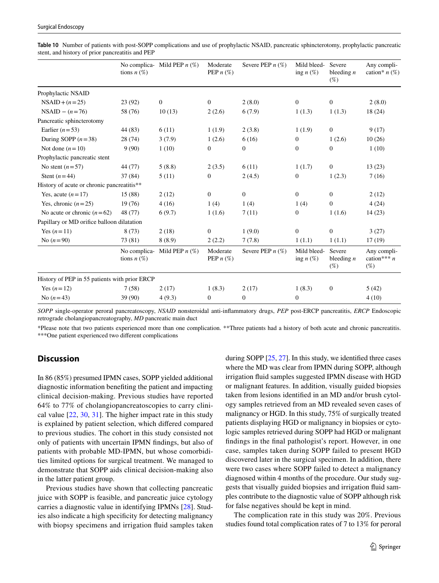|                                               | tions $n(\%)$ | No complica- Mild PEP $n$ (%) | Moderate<br>PEP $n$ (%) | Severe PEP $n$ (%) | Mild bleed-<br>ing $n$ $(\%)$ | Severe<br>bleeding $n$<br>$(\%)$ | Any compli-<br>cation* $n$ (%)         |
|-----------------------------------------------|---------------|-------------------------------|-------------------------|--------------------|-------------------------------|----------------------------------|----------------------------------------|
| Prophylactic NSAID                            |               |                               |                         |                    |                               |                                  |                                        |
| $NSAID + (n=25)$                              | 23(92)        | $\boldsymbol{0}$              | $\mathbf{0}$            | 2(8.0)             | $\mathbf{0}$                  | $\mathbf{0}$                     | 2(8.0)                                 |
| $NSAID - (n = 76)$                            | 58 (76)       | 10(13)                        | 2(2.6)                  | 6(7.9)             | 1(1.3)                        | 1(1.3)                           | 18 (24)                                |
| Pancreatic sphincterotomy                     |               |                               |                         |                    |                               |                                  |                                        |
| Earlier $(n=53)$                              | 44 (83)       | 6(11)                         | 1(1.9)                  | 2(3.8)             | 1(1.9)                        | $\mathbf{0}$                     | 9(17)                                  |
| During SOPP $(n=38)$                          | 28 (74)       | 3(7.9)                        | 1(2.6)                  | 6(16)              | $\boldsymbol{0}$              | 1(2.6)                           | 10(26)                                 |
| Not done $(n=10)$                             | 9(90)         | 1(10)                         | $\mathbf{0}$            | $\mathbf{0}$       | $\mathbf{0}$                  | $\mathbf{0}$                     | 1(10)                                  |
| Prophylactic pancreatic stent                 |               |                               |                         |                    |                               |                                  |                                        |
| No stent $(n=57)$                             | 44 (77)       | 5(8.8)                        | 2(3.5)                  | 6(11)              | 1(1.7)                        | $\mathbf{0}$                     | 13(23)                                 |
| Stent $(n=44)$                                | 37 (84)       | 5(11)                         | $\overline{0}$          | 2(4.5)             | $\boldsymbol{0}$              | 1(2.3)                           | 7(16)                                  |
| History of acute or chronic pancreatitis**    |               |                               |                         |                    |                               |                                  |                                        |
| Yes, acute $(n=17)$                           | 15 (88)       | 2(12)                         | $\mathbf{0}$            | $\overline{0}$     | $\mathbf{0}$                  | $\mathbf{0}$                     | 2(12)                                  |
| Yes, chronic $(n=25)$                         | 19(76)        | 4(16)                         | 1(4)                    | 1(4)               | 1(4)                          | $\mathbf{0}$                     | 4(24)                                  |
| No acute or chronic $(n=62)$                  | 48 (77)       | 6(9.7)                        | 1(1.6)                  | 7(11)              | $\boldsymbol{0}$              | 1(1.6)                           | 14(23)                                 |
| Papillary or MD orifice balloon dilatation    |               |                               |                         |                    |                               |                                  |                                        |
| Yes $(n=11)$                                  | 8(73)         | 2(18)                         | $\mathbf{0}$            | 1(9.0)             | $\mathbf{0}$                  | $\mathbf{0}$                     | 3(27)                                  |
| No $(n=90)$                                   | 73 (81)       | 8(8.9)                        | 2(2.2)                  | 7(7.8)             | 1(1.1)                        | 1(1.1)                           | 17(19)                                 |
|                                               | tions $n(\%)$ | No complica- Mild PEP $n$ (%) | Moderate<br>PEP $n$ (%) | Severe PEP $n$ (%) | Mild bleed-<br>ing $n$ $(\%)$ | Severe<br>bleeding $n$<br>$(\%)$ | Any compli-<br>cation*** $n$<br>$(\%)$ |
| History of PEP in 55 patients with prior ERCP |               |                               |                         |                    |                               |                                  |                                        |
| Yes $(n=12)$                                  | 7(58)         | 2(17)                         | 1(8.3)                  | 2(17)              | 1(8.3)                        | $\boldsymbol{0}$                 | 5(42)                                  |
| No $(n=43)$                                   | 39 (90)       | 4(9.3)                        | $\overline{0}$          | $\boldsymbol{0}$   | $\mathbf{0}$                  |                                  | 4(10)                                  |

<span id="page-8-0"></span>**Table 10** Number of patients with post-SOPP complications and use of prophylactic NSAID, pancreatic sphincterotomy, prophylactic pancreatic stent, and history of prior pancreatitis and PEP

*SOPP* single-operator peroral pancreatoscopy, *NSAID* nonsteroidal anti-infammatory drugs, *PEP* post-ERCP pancreatitis, *ERCP* Endoscopic retrograde cholangiopancreatography, *MD* pancreatic main duct

\*Please note that two patients experienced more than one complication. \*\*Three patients had a history of both acute and chronic pancreatitis. \*\*\*One patient experienced two diferent complications

# **Discussion**

In 86 (85%) presumed IPMN cases, SOPP yielded additional diagnostic information benefting the patient and impacting clinical decision-making. Previous studies have reported 64% to 77% of cholangiopancreatoscopies to carry clinical value [[22,](#page-11-11) [30](#page-11-14), [31\]](#page-11-15). The higher impact rate in this study is explained by patient selection, which difered compared to previous studies. The cohort in this study consisted not only of patients with uncertain IPMN fndings, but also of patients with probable MD-IPMN, but whose comorbidities limited options for surgical treatment. We managed to demonstrate that SOPP aids clinical decision-making also in the latter patient group.

Previous studies have shown that collecting pancreatic juice with SOPP is feasible, and pancreatic juice cytology carries a diagnostic value in identifying IPMNs [[28\]](#page-11-12). Studies also indicate a high specifcity for detecting malignancy with biopsy specimens and irrigation fuid samples taken during SOPP [[25](#page-11-16), [27\]](#page-11-17). In this study, we identifed three cases where the MD was clear from IPMN during SOPP, although irrigation fuid samples suggested IPMN disease with HGD or malignant features. In addition, visually guided biopsies taken from lesions identifed in an MD and/or brush cytology samples retrieved from an MD revealed seven cases of malignancy or HGD. In this study, 75% of surgically treated patients displaying HGD or malignancy in biopsies or cytologic samples retrieved during SOPP had HGD or malignant fndings in the fnal pathologist's report. However, in one case, samples taken during SOPP failed to present HGD discovered later in the surgical specimen. In addition, there were two cases where SOPP failed to detect a malignancy diagnosed within 4 months of the procedure. Our study suggests that visually guided biopsies and irrigation fuid samples contribute to the diagnostic value of SOPP although risk for false negatives should be kept in mind.

The complication rate in this study was 20%. Previous studies found total complication rates of 7 to 13% for peroral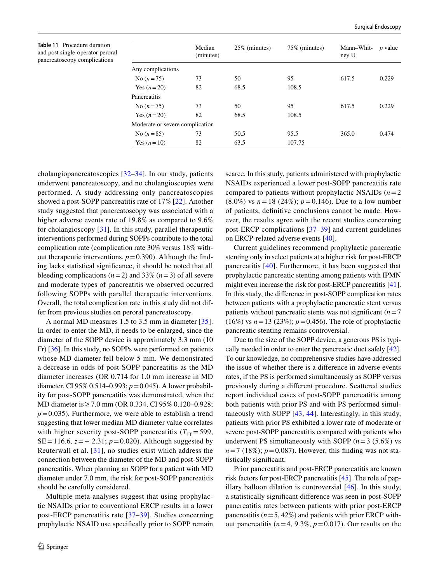<span id="page-9-0"></span>**Table 11** Procedure duration and post single-operator peroral pancreatoscopy complications

|                                 | Median<br>(minutes) | 25% (minutes) | 75% (minutes) | Mann-Whit-<br>ney U | <i>p</i> value |
|---------------------------------|---------------------|---------------|---------------|---------------------|----------------|
| Any complications               |                     |               |               |                     |                |
| No $(n=75)$                     | 73                  | 50            | 95            | 617.5               | 0.229          |
| Yes $(n=20)$                    | 82                  | 68.5          | 108.5         |                     |                |
| Pancreatitis                    |                     |               |               |                     |                |
| No $(n=75)$                     | 73                  | 50            | 95            | 617.5               | 0.229          |
| Yes $(n=20)$                    | 82                  | 68.5          | 108.5         |                     |                |
| Moderate or severe complication |                     |               |               |                     |                |
| No $(n=85)$                     | 73                  | 50.5          | 95.5          | 365.0               | 0.474          |
| Yes $(n=10)$                    | 82                  | 63.5          | 107.75        |                     |                |
|                                 |                     |               |               |                     |                |

cholangiopancreatoscopies [[32–](#page-11-18)[34](#page-11-19)]. In our study, patients underwent pancreatoscopy, and no cholangioscopies were performed. A study addressing only pancreatoscopies showed a post-SOPP pancreatitis rate of 17% [[22\]](#page-11-11). Another study suggested that pancreatoscopy was associated with a higher adverse events rate of 19.8% as compared to 9.6% for cholangioscopy [\[31\]](#page-11-15). In this study, parallel therapeutic interventions performed during SOPPs contribute to the total complication rate (complication rate 30% versus 18% without therapeutic interventions,  $p = 0.390$ ). Although the finding lacks statistical signifcance, it should be noted that all bleeding complications  $(n=2)$  and 33%  $(n=3)$  of all severe and moderate types of pancreatitis we observed occurred following SOPPs with parallel therapeutic interventions. Overall, the total complication rate in this study did not differ from previous studies on peroral pancreatoscopy.

A normal MD measures 1.5 to 3.5 mm in diameter [\[35](#page-11-20)]. In order to enter the MD, it needs to be enlarged, since the diameter of the SOPP device is approximately 3.3 mm (10 Fr) [[36\]](#page-11-21). In this study, no SOPPs were performed on patients whose MD diameter fell below 5 mm. We demonstrated a decrease in odds of post-SOPP pancreatitis as the MD diameter increases (OR 0.714 for 1.0 mm increase in MD diameter, CI 95% 0.514–0.993; *p*=0.045). A lower probability for post-SOPP pancreatitis was demonstrated, when the MD diameter is ≥ 7.0 mm (OR 0.334, CI 95% 0.120–0.928;  $p=0.035$ ). Furthermore, we were able to establish a trend suggesting that lower median MD diameter value correlates with higher severity post-SOPP pancreatitis  $(T_{\text{JT}}= 599,$ SE=116.6, *z*=− 2.31; *p*=0.020). Although suggested by Reuterwall et al. [[31](#page-11-15)], no studies exist which address the connection between the diameter of the MD and post-SOPP pancreatitis. When planning an SOPP for a patient with MD diameter under 7.0 mm, the risk for post-SOPP pancreatitis should be carefully considered.

Multiple meta-analyses suggest that using prophylactic NSAIDs prior to conventional ERCP results in a lower post-ERCP pancreatitis rate [[37](#page-11-22)–[39\]](#page-11-23). Studies concerning prophylactic NSAID use specifcally prior to SOPP remain

scarce. In this study, patients administered with prophylactic NSAIDs experienced a lower post-SOPP pancreatitis rate compared to patients without prophylactic NSAIDs  $(n=2)$  $(8.0\%)$  vs  $n = 18$  (24%);  $p = 0.146$ ). Due to a low number of patients, defnitive conclusions cannot be made. However, the results agree with the recent studies concerning post-ERCP complications [\[37–](#page-11-22)[39](#page-11-23)] and current guidelines on ERCP-related adverse events [\[40](#page-12-0)].

Current guidelines recommend prophylactic pancreatic stenting only in select patients at a higher risk for post-ERCP pancreatitis [\[40\]](#page-12-0). Furthermore, it has been suggested that prophylactic pancreatic stenting among patients with IPMN might even increase the risk for post-ERCP pancreatitis [[41](#page-12-1)]. In this study, the diference in post-SOPP complication rates between patients with a prophylactic pancreatic stent versus patients without pancreatic stents was not significant  $(n=7)$ (16%) vs  $n = 13$  (23%);  $p = 0.456$ ). The role of prophylactic pancreatic stenting remains controversial.

Due to the size of the SOPP device, a generous PS is typically needed in order to enter the pancreatic duct safely [[42](#page-12-2)]. To our knowledge, no comprehensive studies have addressed the issue of whether there is a diference in adverse events rates, if the PS is performed simultaneously as SOPP versus previously during a diferent procedure. Scattered studies report individual cases of post-SOPP pancreatitis among both patients with prior PS and with PS performed simultaneously with SOPP [[43](#page-12-3), [44\]](#page-12-4). Interestingly, in this study, patients with prior PS exhibited a lower rate of moderate or severe post-SOPP pancreatitis compared with patients who underwent PS simultaneously with SOPP  $(n=3 \ (5.6\%)$  vs  $n=7$  (18%);  $p=0.087$ ). However, this finding was not statistically signifcant.

Prior pancreatitis and post-ERCP pancreatitis are known risk factors for post-ERCP pancreatitis [\[45](#page-12-5)]. The role of papillary balloon dilation is controversial [[46\]](#page-12-6). In this study, a statistically signifcant diference was seen in post-SOPP pancreatitis rates between patients with prior post-ERCP pancreatitis  $(n=5, 42\%)$  and patients with prior ERCP without pancreatitis  $(n=4, 9.3\%, p=0.017)$ . Our results on the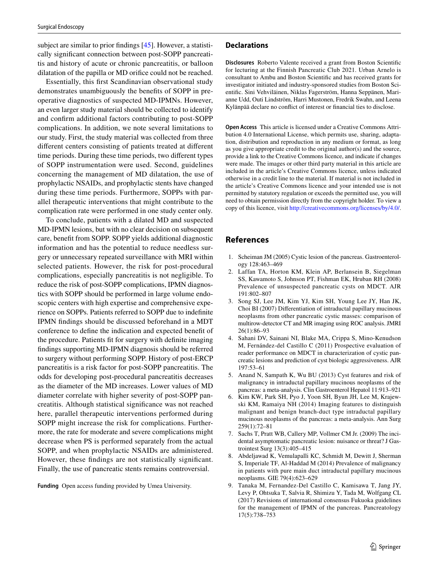subject are similar to prior fndings [\[45\]](#page-12-5). However, a statistically signifcant connection between post-SOPP pancreatitis and history of acute or chronic pancreatitis, or balloon dilatation of the papilla or MD orifce could not be reached.

Essentially, this frst Scandinavian observational study demonstrates unambiguously the benefts of SOPP in preoperative diagnostics of suspected MD-IPMNs. However, an even larger study material should be collected to identify and confrm additional factors contributing to post-SOPP complications. In addition, we note several limitations to our study. First, the study material was collected from three diferent centers consisting of patients treated at diferent time periods. During these time periods, two diferent types of SOPP instrumentation were used. Second, guidelines concerning the management of MD dilatation, the use of prophylactic NSAIDs, and prophylactic stents have changed during these time periods. Furthermore, SOPPs with parallel therapeutic interventions that might contribute to the complication rate were performed in one study center only.

To conclude, patients with a dilated MD and suspected MD-IPMN lesions, but with no clear decision on subsequent care, beneft from SOPP. SOPP yields additional diagnostic information and has the potential to reduce needless surgery or unnecessary repeated surveillance with MRI within selected patients. However, the risk for post-procedural complications, especially pancreatitis is not negligible. To reduce the risk of post-SOPP complications, IPMN diagnostics with SOPP should be performed in large volume endoscopic centers with high expertise and comprehensive experience on SOPPs. Patients referred to SOPP due to indefnite IPMN fndings should be discussed beforehand in a MDT conference to defne the indication and expected beneft of the procedure. Patients ft for surgery with defnite imaging fndings supporting MD-IPMN diagnosis should be referred to surgery without performing SOPP. History of post-ERCP pancreatitis is a risk factor for post-SOPP pancreatitis. The odds for developing post-procedural pancreatitis decreases as the diameter of the MD increases. Lower values of MD diameter correlate with higher severity of post-SOPP pancreatitis. Although statistical signifcance was not reached here, parallel therapeutic interventions performed during SOPP might increase the risk for complications. Furthermore, the rate for moderate and severe complications might decrease when PS is performed separately from the actual SOPP, and when prophylactic NSAIDs are administered. However, these fndings are not statistically signifcant. Finally, the use of pancreatic stents remains controversial.

**Funding** Open access funding provided by Umea University.

#### **Declarations**

**Disclosures** Roberto Valente received a grant from Boston Scientifc for lecturing at the Finnish Pancreatic Club 2021. Urban Arnelo is consultant to Ambu and Boston Scientifc and has received grants for investigator initiated and industry-sponsored studies from Boston Scientifc. Sini Vehviläinen, Niklas Fagerström, Hanna Seppänen, Marianne Udd, Outi Lindström, Harri Mustonen, Fredrik Swahn, and Leena Kylänpää declare no confict of interest or fnancial ties to disclose.

**Open Access** This article is licensed under a Creative Commons Attribution 4.0 International License, which permits use, sharing, adaptation, distribution and reproduction in any medium or format, as long as you give appropriate credit to the original author(s) and the source, provide a link to the Creative Commons licence, and indicate if changes were made. The images or other third party material in this article are included in the article's Creative Commons licence, unless indicated otherwise in a credit line to the material. If material is not included in the article's Creative Commons licence and your intended use is not permitted by statutory regulation or exceeds the permitted use, you will need to obtain permission directly from the copyright holder. To view a copy of this licence, visit<http://creativecommons.org/licenses/by/4.0/>.

## **References**

- <span id="page-10-0"></span>1. Scheiman JM (2005) Cystic lesion of the pancreas. Gastroenterology 128:463–469
- <span id="page-10-1"></span>2. Laffan TA, Horton KM, Klein AP, Berlansein B, Siegelman SS, Kawamoto S, Johnson PT, Fishman EK, Hruban RH (2008) Prevalence of unsuspected pancreatic cysts on MDCT. AJR 191:802–807
- <span id="page-10-2"></span>3. Song SJ, Lee JM, Kim YJ, Kim SH, Young Lee JY, Han JK, Choi BI (2007) Diferentiation of intraductal papillary mucinous neoplasms from other pancreatic cystic masses: comparison of multirow-detector CT and MR imaging using ROC analysis. JMRI 26(1):86–93
- 4. Sahani DV, Sainani NI, Blake MA, Crippa S, Mino-Kenudson M, Fernández-del Castillo C (2011) Prospective evaluation of reader performance on MDCT in characterization of cystic pancreatic lesions and prediction of cyst biologic aggressiveness. AJR 197:53–61
- <span id="page-10-7"></span>5. Anand N, Sampath K, Wu BU (2013) Cyst features and risk of malignancy in intraductal papillary mucinous neoplasms of the pancreas: a meta-analysis. Clin Gastroenterol Hepatol 11:913–921
- <span id="page-10-3"></span>6. Kim KW, Park SH, Pyo J, Yoon SH, Byun JH, Lee M, Krajewski KM, Ramaiya NH (2014) Imaging features to distinguish malignant and benign branch-duct type intraductal papillary mucinous neoplasms of the pancreas: a meta-analysis. Ann Surg 259(1):72–81
- <span id="page-10-4"></span>7. Sachs T, Pratt WB, Callery MP, Vollmer CM Jr. (2009) The incidental asymptomatic pancreatic lesion: nuisance or threat? J Gastrointest Surg 13(3):405–415
- <span id="page-10-5"></span>8. Abdeljawad K, Vemulapalli KC, Schmidt M, Dewitt J, Sherman S, Imperiale TF, Al-Haddad M (2014) Prevalence of malignancy in patients with pure main duct intraductal papillary mucinous neoplasms. GIE 79(4):623–629
- <span id="page-10-6"></span>9. Tanaka M, Fernandez-Del Castillo C, Kamisawa T, Jang JY, Levy P, Ohtsuka T, Salvia R, Shimizu Y, Tada M, Wolfgang CL (2017) Revisions of international consensus Fukuoka guidelines for the management of IPMN of the pancreas. Pancreatology 17(5):738–753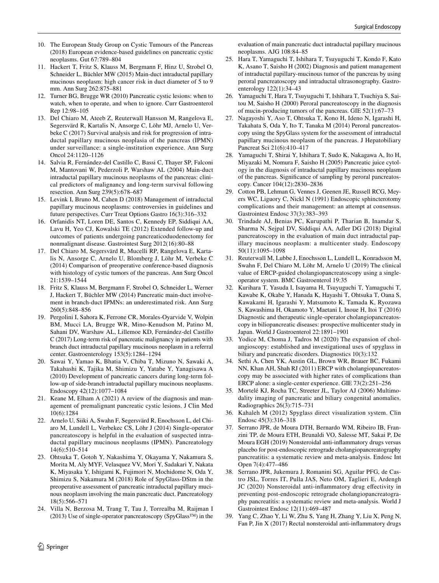- <span id="page-11-0"></span>10. The European Study Group on Cystic Tumours of the Pancreas (2018) European evidence-based guidelines on pancreatic cystic neoplasms. Gut 67:789–804
- 11. Hackert T, Fritz S, Klauss M, Bergmann F, Hinz U, Strobel O, Schneider L, Büchler MW (2015) Main-duct intraductal papillary mucinous neoplasm: high cancer risk in duct diameter of 5 to 9 mm. Ann Surg 262:875–881
- <span id="page-11-1"></span>12. Turner BG, Brugge WR (2010) Pancreatic cystic lesions: when to watch, when to operate, and when to ignore. Curr Gastroenterol Rep 12:98–105
- <span id="page-11-2"></span>13. Del Chiaro M, Ateeb Z, Reuterwall Hansson M, Rangelova E, Segersvärd R, Kartalis N, Ansorge C, Löhr MJ, Arnelo U, Verbeke C (2017) Survival analysis and risk for progression of intraductal papillary mucinous neoplasia of the pancreas (IPMN) under surveillance: a single-institution experience. Ann Surg Oncol 24:1120–1126
- <span id="page-11-3"></span>14. Salvia R, Fernández-del Castillo C, Bassi C, Thayer SP, Falconi M, Mantovani W, Pederzoli P, Warshaw AL (2004) Main-duct intraductal papillary mucinous neoplasms of the pancreas: clinical predictors of malignancy and long-term survival following resection. Ann Surg 239(5):678–687
- <span id="page-11-4"></span>15. Levink I, Bruno M, Cahen D (2018) Management of intraductal papillary mucinous neoplasms: controversies in guidelines and future perspectives. Curr Treat Options Gastro 16(3):316–332
- <span id="page-11-5"></span>16. Orfanidis NT, Loren DE, Santos C, Kennedy EP, Siddiqui AA, Lavu H, Yeo CJ, Kowalski TE (2012) Extended follow-up and outcomes of patients undergoing pancreaticoduodenectomy for nonmalignant disease. Gastrointest Surg 2012(16):80–88
- <span id="page-11-6"></span>17. Del Chiaro M, Segersvärd R, Mucelli RP, Rangelova E, Kartalis N, Ansorge C, Arnelo U, Blomberg J, Löhr M, Verbeke C (2014) Comparison of preoperative conference-based diagnosis with histology of cystic tumors of the pancreas. Ann Surg Oncol 21:1539–1544
- <span id="page-11-7"></span>18. Fritz S, Klauss M, Bergmann F, Strobel O, Schneider L, Werner J, Hackert T, Büchler MW (2014) Pancreatic main-duct involvement in branch-duct IPMNs: an underestimated risk. Ann Surg 260(5):848–856
- <span id="page-11-8"></span>19. Pergolini I, Sahora K, Ferrone CR, Morales-Oyarvide V, Wolpin BM, Mucci LA, Brugge WR, Mino-Kenudson M, Patino M, Sahani DV, Warshaw AL, Lillemoe KD, Fernández-del Castillo C (2017) Long-term risk of pancreatic malignancy in patients with branch duct intraductal papillary mucinous neoplasm in a referral center. Gastroenterology 153(5):1284–1294
- <span id="page-11-9"></span>20. Sawai Y, Yamao K, Bhatia V, Chiba T, Mizuno N, Sawaki A, Takahashi K, Tajika M, Shimizu Y, Yatabe Y, Yanagisawa A (2010) Development of pancreatic cancers during long-term follow-up of side-branch intraductal papillary mucinous neoplasms. Endoscopy 42(12):1077–1084
- <span id="page-11-10"></span>21. Keane M, Elham A (2021) A review of the diagnosis and management of premalignant pancreatic cystic lesions. J Clin Med 10(6):1284
- <span id="page-11-11"></span>22. Arnelo U, Siiki A, Swahn F, Segersvärd R, Enochsson L, del Chiaro M, Lundell L, Verbekec CS, Löhr J (2014) Single-operator pancreatoscopy is helpful in the evaluation of suspected intraductal papillary mucinous neoplasms (IPMN). Pancreatology 14(6):510–514
- 23. Ohtsuka T, Gotoh Y, Nakashima Y, Okayama Y, Nakamura S, Morita M, Aly MYF, Velasquez VV, Mori Y, Sadakari Y, Nakata K, Miyasaka Y, Ishigami K, Fujimori N, Mochidome N, Oda Y, Shimizu S, Nakamura M (2018) Role of SpyGlass-DStm in the preoperative assessment of pancreatic intraductal papillary mucinous neoplasm involving the main pancreatic duct. Pancreatology 18(5):566–571
- 24. Villa N, Berzosa M, Trang T, Tau J, Torrealba M, Raijman I (2013) Use of single-operator pancreatoscopy (SpyGlass™) in the

evaluation of main pancreatic duct intraductal papillary mucinous neoplasms. AJG 108:84–85

- <span id="page-11-16"></span>25. Hara T, Yamaguchi T, Ishihara T, Tsuyuguchi T, Kondo F, Kato K, Asano T, Saisho H (2002) Diagnosis and patient management of intraductal papillary-mucinous tumor of the pancreas by using peroral pancreatoscopy and intraductal ultrasonography. Gastroenterology 122(1):34–43
- 26. Yamaguchi T, Hara T, Tsuyuguchi T, Ishihara T, Tsuchiya S, Saitou M, Saisho H (2000) Peroral pancreatoscopy in the diagnosis of mucin-producing tumors of the pancreas. GIE 52(1):67–73
- <span id="page-11-17"></span>27. Nagayoshi Y, Aso T, Ohtsuka T, Kono H, Ideno N, Igarashi H, Takahata S, Oda Y, Ito T, Tanaka M (2014) Peroral pancreatoscopy using the SpyGlass system for the assessment of intraductal papillary mucinous neoplasm of the pancreas. J Hepatobiliary Pancreat Sci 21(6):410–417
- <span id="page-11-12"></span>28. Yamaguchi T, Shirai Y, Ishihara T, Sudo K, Nakagawa A, Ito H, Miyazaki M, Nomura F, Saisho H (2005) Pancreatic juice cytology in the diagnosis of intraductal papillary mucinous neoplasm of the pancreas. Signifcance of sampling by peroral pancreatoscopy. Cancer 104(12):2830–2836
- <span id="page-11-13"></span>29. Cotton PB, Lehman G, Vennes J, Geenen JE, Russell RCG, Meyers WC, Liguory C, Nickl N (1991) Endoscopic sphincterotomy complications and their management: an attempt at consensus. Gastrointest Endosc 37(3):383–393
- <span id="page-11-14"></span>30. Trindade AJ, Benias PC, Kurupathi P, Tharian B, Inamdar S, Sharma N, Sejpal DV, Siddiqui AA, Adler DG (2018) Digital pancreatoscopy in the evaluation of main duct intraductal papillary mucinous neoplasm: a multicenter study. Endoscopy 50(11):1095–1098
- <span id="page-11-15"></span>31. Reuterwall M, Lubbe J, Enochsson L, Lundell L, Konradsson M, Swahn F, Del Chiaro M, Löhr M, Arnelo U (2019) The clinical value of ERCP-guided cholangiopancreatoscopy using a singleoperator system. BMC Gastroenterol 19:35
- <span id="page-11-18"></span>32. Kurihara T, Yasuda I, Isayama H, Tsuyuguchi T, Yamaguchi T, Kawabe K, Okabe Y, Hanada K, Hayashi T, Ohtsuka T, Oana S, Kawakami H, Igarashi Y, Matsumoto K, Tamada K, Ryozawa S, Kawashima H, Okamoto Y, Maetani I, Inoue H, Itoi T (2016) Diagnostic and therapeutic single-operator cholangiopancreatoscopy in biliopancreatic diseases: prospective multicenter study in Japan. World J Gastroenterol 22:1891–1901
- 33. Yodice M, Choma J, Tadros M (2020) The expansion of cholangioscopy: established and investigational uses of spyglass in biliary and pancreatic disorders. Diagnostics 10(3):132
- <span id="page-11-19"></span>34. Sethi A, Chen YK, Austin GL, Brown WR, Brauer BC, Fukami NN, Khan AH, Shah RJ (2011) ERCP with cholangiopancreatoscopy may be associated with higher rates of complications than ERCP alone: a single-center experience. GIE 73(2):251–256
- <span id="page-11-20"></span>35. Mortelé KJ, Rocha TC, Streeter JL, Taylor AJ (2006) Multimodality imaging of pancreatic and biliary congenital anomalies. Radiographics 26(3):715–731
- <span id="page-11-21"></span>36. Kahaleh M (2012) Spyglass direct visualization system. Clin Endosc 45(3):316–318
- <span id="page-11-22"></span>37. Serrano JPR, de Moura DTH, Bernardo WM, Ribeiro IB, Franzini TP, de Moura ETH, Brunaldi VO, Salesse MT, Sakai P, De Moura EGH (2019) Nonsteroidal anti-infammatory drugs versus placebo for post-endoscopic retrograde cholangiopancreatography pancreatitis: a systematic review and meta-analysis. Endosc Int Open 7(4):477–486
- 38. Serrano JPR, Jukemura J, Romanini SG, Aguilar PFG, de Castro JSL, Torres IT, Pulla JAS, Neto OM, Taglieri E, Ardengh JC (2020) Nonsteroidal anti-inflammatory drug effectivity in preventing post-endoscopic retrograde cholangiopancreatography pancreatitis: a systematic review and meta-analysis. World J Gastrointest Endosc 12(11):469–487
- <span id="page-11-23"></span>39. Yang C, Zhao Y, Li W, Zhu S, Yang H, Zhang Y, Liu X, Peng N, Fan P, Jin X (2017) Rectal nonsteroidal anti-infammatory drugs